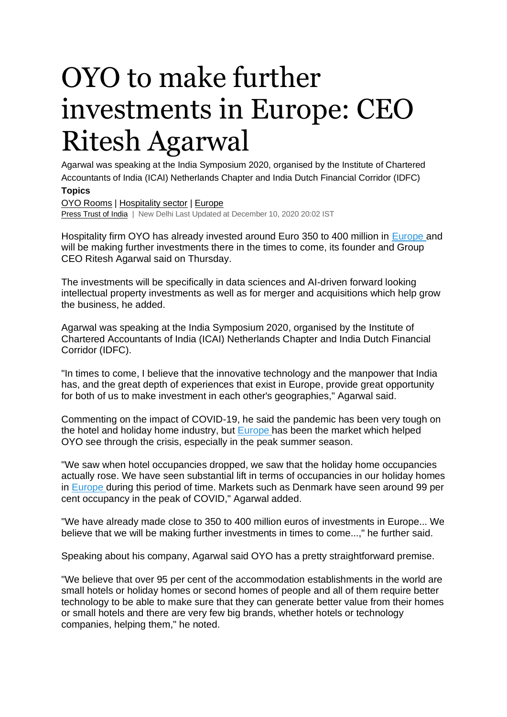## OYO to make further investments in Europe: CEO Ritesh Agarwal

Agarwal was speaking at the India Symposium 2020, organised by the Institute of Chartered Accountants of India (ICAI) Netherlands Chapter and India Dutch Financial Corridor (IDFC) **Topics**

[OYO Rooms](https://www.business-standard.com/topic/oyo-rooms) | [Hospitality sector](https://www.business-standard.com/topic/hospitality-sector) | [Europe](https://www.business-standard.com/topic/europe) [Press Trust of India](https://www.business-standard.com/author/search/keyword/press-trust-of-india) | New Delhi Last Updated at December 10, 2020 20:02 IST

Hospitality firm OYO has already invested around Euro 350 to 400 million in [Europe](https://www.business-standard.com/topic/europe) and will be making further investments there in the times to come, its founder and Group CEO Ritesh Agarwal said on Thursday.

The investments will be specifically in data sciences and AI-driven forward looking intellectual property investments as well as for merger and acquisitions which help grow the business, he added.

Agarwal was speaking at the India Symposium 2020, organised by the Institute of Chartered Accountants of India (ICAI) Netherlands Chapter and India Dutch Financial Corridor (IDFC).

"In times to come, I believe that the innovative technology and the manpower that India has, and the great depth of experiences that exist in Europe, provide great opportunity for both of us to make investment in each other's geographies," Agarwal said.

Commenting on the impact of COVID-19, he said the pandemic has been very tough on the hotel and holiday home industry, but [Europe](https://www.business-standard.com/topic/europe) has been the market which helped OYO see through the crisis, especially in the peak summer season.

"We saw when hotel occupancies dropped, we saw that the holiday home occupancies actually rose. We have seen substantial lift in terms of occupancies in our holiday homes in [Europe](https://www.business-standard.com/topic/europe) during this period of time. Markets such as Denmark have seen around 99 per cent occupancy in the peak of COVID," Agarwal added.

"We have already made close to 350 to 400 million euros of investments in Europe... We believe that we will be making further investments in times to come...," he further said.

Speaking about his company, Agarwal said OYO has a pretty straightforward premise.

"We believe that over 95 per cent of the accommodation establishments in the world are small hotels or holiday homes or second homes of people and all of them require better technology to be able to make sure that they can generate better value from their homes or small hotels and there are very few big brands, whether hotels or technology companies, helping them," he noted.